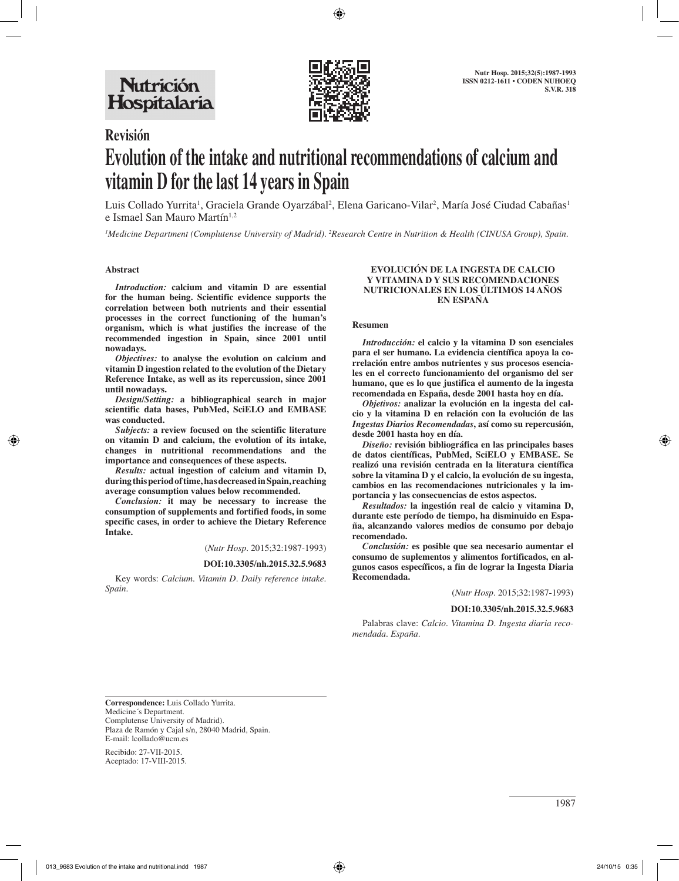

# **Revisión Evolution of the intake and nutritional recommendations of calcium and vitamin D for the last 14 years in Spain**

Luis Collado Yurrita<sup>i</sup>, Graciela Grande Oyarzábal<sup>2</sup>, Elena Garicano-Vilar<sup>2</sup>, María José Ciudad Cabañas<sup>i</sup> e Ismael San Mauro Martín<sup>1,2</sup>

*1 Medicine Department (Complutense University of Madrid). 2 Research Centre in Nutrition & Health (CINUSA Group), Spain.*

## **Abstract**

*Introduction:* **calcium and vitamin D are essential for the human being. Scientific evidence supports the correlation between both nutrients and their essential processes in the correct functioning of the human's organism, which is what justifies the increase of the recommended ingestion in Spain, since 2001 until nowadays.**

*Objectives:* **to analyse the evolution on calcium and vitamin D ingestion related to the evolution of the Dietary Reference Intake, as well as its repercussion, since 2001 until nowadays.**

*Design/Setting:* **a bibliographical search in major scientific data bases, PubMed, SciELO and EMBASE was conducted.**

*Subjects:* **a review focused on the scientific literature on vitamin D and calcium, the evolution of its intake, changes in nutritional recommendations and the importance and consequences of these aspects.**

*Results:* **actual ingestion of calcium and vitamin D, during this period of time, has decreased in Spain, reaching average consumption values below recommended.**

*Conclusion:* **it may be necessary to increase the consumption of supplements and fortified foods, in some specific cases, in order to achieve the Dietary Reference Intake.** 

(*Nutr Hosp.* 2015;32:1987-1993)

#### **DOI:10.3305/nh.2015.32.5.9683**

Key words: *Calcium. Vitamin D. Daily reference intake. Spain.*

## **EVOLUCIÓN DE LA INGESTA DE CALCIO Y VITAMINA D Y SUS RECOMENDACIONES NUTRICIONALES EN LOS ÚLTIMOS 14 AÑOS EN ESPAÑA**

## **Resumen**

*Introducción:* **el calcio y la vitamina D son esenciales para el ser humano. La evidencia científica apoya la correlación entre ambos nutrientes y sus procesos esenciales en el correcto funcionamiento del organismo del ser humano, que es lo que justifica el aumento de la ingesta recomendada en España, desde 2001 hasta hoy en día.**

*Objetivos:* **analizar la evolución en la ingesta del calcio y la vitamina D en relación con la evolución de las**  *Ingestas Diarios Recomendadas***, así como su repercusión, desde 2001 hasta hoy en día.**

*Diseño:* **revisión bibliográfica en las principales bases de datos científicas, PubMed, SciELO y EMBASE. Se realizó una revisión centrada en la literatura científica sobre la vitamina D y el calcio, la evolución de su ingesta, cambios en las recomendaciones nutricionales y la importancia y las consecuencias de estos aspectos.**

*Resultados:* **la ingestión real de calcio y vitamina D, durante este período de tiempo, ha disminuido en España, alcanzando valores medios de consumo por debajo recomendado.**

*Conclusión:* **es posible que sea necesario aumentar el consumo de suplementos y alimentos fortificados, en algunos casos específicos, a fin de lograr la Ingesta Diaria Recomendada.**

(*Nutr Hosp.* 2015;32:1987-1993)

### **DOI:10.3305/nh.2015.32.5.9683**

Palabras clave: *Calcio. Vitamina D. Ingesta diaria recomendada. España.* 

**Correspondence:** Luis Collado Yurrita. Medicine´s Department. Complutense University of Madrid). Plaza de Ramón y Cajal s/n, 28040 Madrid, Spain. E-mail: lcollado@ucm.es

Recibido: 27-VII-2015. Aceptado: 17-VIII-2015.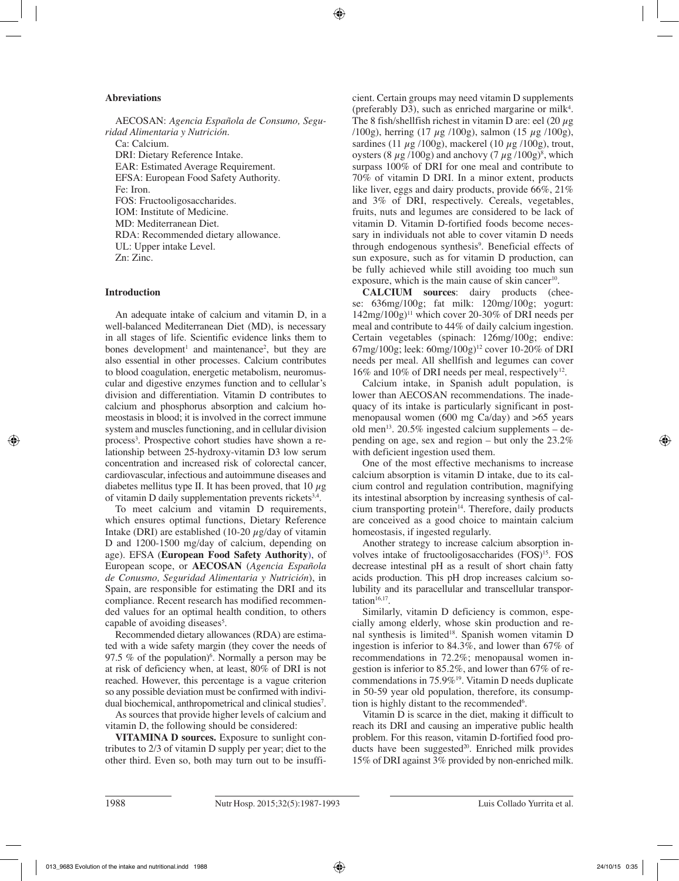# **Abreviations**

AECOSAN: *Agencia Española de Consumo, Seguridad Alimentaria y Nutrición*. Ca: Calcium. DRI: Dietary Reference Intake. EAR: Estimated Average Requirement. EFSA: European Food Safety Authority. Fe: Iron. FOS: Fructooligosaccharides. IOM: Institute of Medicine. MD: Mediterranean Diet. RDA: Recommended dietary allowance. UL: Upper intake Level. Zn: Zinc.

# **Introduction**

An adequate intake of calcium and vitamin D, in a well-balanced Mediterranean Diet (MD), is necessary in all stages of life. Scientific evidence links them to bones development<sup>1</sup> and maintenance<sup>2</sup>, but they are also essential in other processes. Calcium contributes to blood coagulation, energetic metabolism, neuromuscular and digestive enzymes function and to cellular's division and differentiation. Vitamin D contributes to calcium and phosphorus absorption and calcium homeostasis in blood; it is involved in the correct immune system and muscles functioning, and in cellular division process<sup>3</sup>. Prospective cohort studies have shown a relationship between 25-hydroxy-vitamin D3 low serum concentration and increased risk of colorectal cancer, cardiovascular, infectious and autoimmune diseases and diabetes mellitus type II. It has been proved, that 10  $\mu$ g of vitamin D daily supplementation prevents rickets<sup>3,4</sup>.

To meet calcium and vitamin D requirements, which ensures optimal functions, Dietary Reference Intake (DRI) are established (10-20  $\mu$ g/day of vitamin D and 1200-1500 mg/day of calcium, depending on age). EFSA (**European Food Safety Authority**), of European scope, or **AECOSAN** (*Agencia Española de Conusmo, Seguridad Alimentaria y Nutrición*), in Spain, are responsible for estimating the DRI and its compliance. Recent research has modified recommended values for an optimal health condition, to others capable of avoiding diseases<sup>5</sup>.

Recommended dietary allowances (RDA) are estimated with a wide safety margin (they cover the needs of 97.5  $%$  of the population)<sup> $6$ </sup>. Normally a person may be at risk of deficiency when, at least, 80% of DRI is not reached. However, this percentage is a vague criterion so any possible deviation must be confirmed with individual biochemical, anthropometrical and clinical studies7 .

As sources that provide higher levels of calcium and vitamin D, the following should be considered:

**VITAMINA D sources.** Exposure to sunlight contributes to 2/3 of vitamin D supply per year; diet to the other third. Even so, both may turn out to be insufficient. Certain groups may need vitamin D supplements (preferably  $D3$ ), such as enriched margarine or milk<sup>4</sup>. The 8 fish/shellfish richest in vitamin D are: eel  $(20 \mu g)$  $(100g)$ , herring  $(17 \mu g / 100g)$ , salmon  $(15 \mu g / 100g)$ , sardines (11  $\mu$ g /100g), mackerel (10  $\mu$ g /100g), trout, oysters (8  $\mu$ g/100g) and anchovy (7  $\mu$ g/100g)<sup>8</sup>, which surpass 100% of DRI for one meal and contribute to 70% of vitamin D DRI. In a minor extent, products like liver, eggs and dairy products, provide 66%, 21% and 3% of DRI, respectively. Cereals, vegetables, fruits, nuts and legumes are considered to be lack of vitamin D. Vitamin D-fortified foods become necessary in individuals not able to cover vitamin D needs through endogenous synthesis<sup>9</sup>. Beneficial effects of sun exposure, such as for vitamin D production, can be fully achieved while still avoiding too much sun exposure, which is the main cause of skin cancer<sup>10</sup>.

**CALCIUM sources**: dairy products (cheese: 636mg/100g; fat milk: 120mg/100g; yogurt:  $142$ mg/ $100g$ <sup>11</sup> which cover 20-30% of DRI needs per meal and contribute to 44% of daily calcium ingestion. Certain vegetables (spinach: 126mg/100g; endive: 67mg/100g; leek: 60mg/100g)12 cover 10-20% of DRI needs per meal. All shellfish and legumes can cover 16% and 10% of DRI needs per meal, respectively<sup>12</sup>.

Calcium intake, in Spanish adult population, is lower than AECOSAN recommendations. The inadequacy of its intake is particularly significant in postmenopausal women (600 mg Ca/day) and >65 years old men<sup>13</sup>. 20.5% ingested calcium supplements – depending on age, sex and region – but only the 23.2% with deficient ingestion used them.

One of the most effective mechanisms to increase calcium absorption is vitamin D intake, due to its calcium control and regulation contribution, magnifying its intestinal absorption by increasing synthesis of calcium transporting protein $14$ . Therefore, daily products are conceived as a good choice to maintain calcium homeostasis, if ingested regularly.

Another strategy to increase calcium absorption involves intake of fructooligosaccharides (FOS)<sup>15</sup>. FOS decrease intestinal pH as a result of short chain fatty acids production. This pH drop increases calcium solubility and its paracellular and transcellular transportation $16,17$ .

Similarly, vitamin D deficiency is common, especially among elderly, whose skin production and renal synthesis is limited<sup>18</sup>. Spanish women vitamin D ingestion is inferior to 84.3%, and lower than 67% of recommendations in 72.2%; menopausal women ingestion is inferior to 85.2%, and lower than 67% of recommendations in 75.9%19. Vitamin D needs duplicate in 50-59 year old population, therefore, its consumption is highly distant to the recommended<sup>6</sup>.

Vitamin D is scarce in the diet, making it difficult to reach its DRI and causing an imperative public health problem. For this reason, vitamin D-fortified food products have been suggested<sup>20</sup>. Enriched milk provides 15% of DRI against 3% provided by non-enriched milk.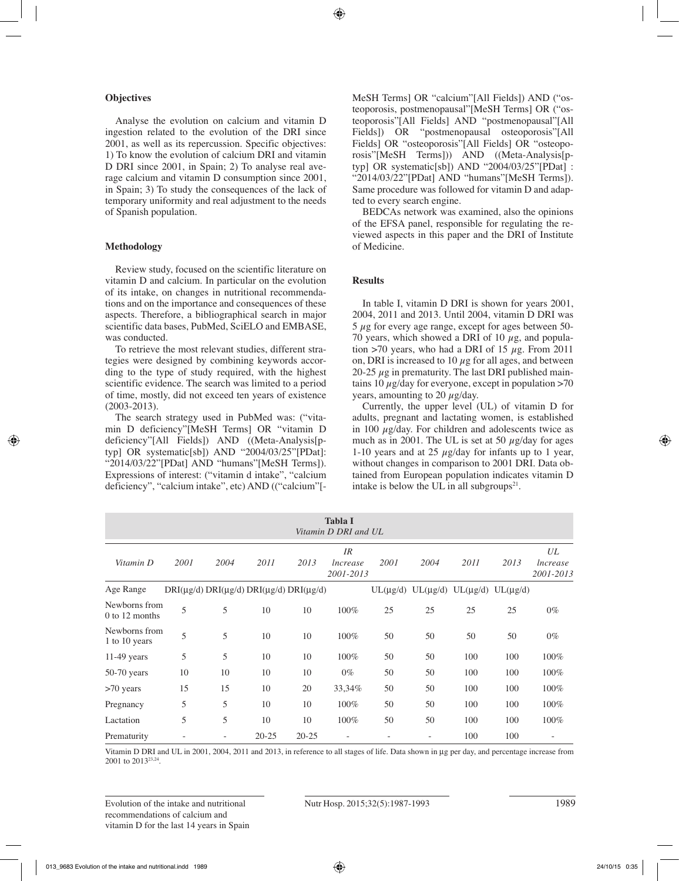## **Objectives**

Analyse the evolution on calcium and vitamin D ingestion related to the evolution of the DRI since 2001, as well as its repercussion. Specific objectives: 1) To know the evolution of calcium DRI and vitamin D DRI since 2001, in Spain; 2) To analyse real average calcium and vitamin D consumption since 2001, in Spain; 3) To study the consequences of the lack of temporary uniformity and real adjustment to the needs of Spanish population.

## **Methodology**

Review study, focused on the scientific literature on vitamin D and calcium. In particular on the evolution of its intake, on changes in nutritional recommendations and on the importance and consequences of these aspects. Therefore, a bibliographical search in major scientific data bases, PubMed, SciELO and EMBASE, was conducted.

To retrieve the most relevant studies, different strategies were designed by combining keywords according to the type of study required, with the highest scientific evidence. The search was limited to a period of time, mostly, did not exceed ten years of existence (2003-2013).

The search strategy used in PubMed was: ("vitamin D deficiency"[MeSH Terms] OR "vitamin D deficiency"[All Fields]) AND ((Meta-Analysis[ptyp] OR systematic[sb]) AND "2004/03/25"[PDat]: "2014/03/22"[PDat] AND "humans"[MeSH Terms]). Expressions of interest: ("vitamin d intake", "calcium deficiency", "calcium intake", etc) AND (("calcium"[- MeSH Terms] OR "calcium"[All Fields]) AND ("osteoporosis, postmenopausal"[MeSH Terms] OR ("osteoporosis"[All Fields] AND "postmenopausal"[All Fields]) OR "postmenopausal osteoporosis"[All Fields] OR "osteoporosis"[All Fields] OR "osteoporosis"[MeSH Terms])) AND ((Meta-Analysis[ptyp] OR systematic[sb]) AND "2004/03/25"[PDat] : "2014/03/22"[PDat] AND "humans"[MeSH Terms]). Same procedure was followed for vitamin D and adapted to every search engine.

BEDCAs network was examined, also the opinions of the EFSA panel, responsible for regulating the reviewed aspects in this paper and the DRI of Institute of Medicine.

## **Results**

In table I, vitamin D DRI is shown for years 2001, 2004, 2011 and 2013. Until 2004, vitamin D DRI was 5 µg for every age range, except for ages between 50- 70 years, which showed a DRI of 10  $\mu$ g, and population >70 years, who had a DRI of 15  $\mu$ g. From 2011 on, DRI is increased to 10  $\mu$ g for all ages, and between 20-25  $\mu$ g in prematurity. The last DRI published maintains 10  $\mu$ g/day for everyone, except in population >70 years, amounting to 20  $\mu$ g/day.

Currently, the upper level (UL) of vitamin D for adults, pregnant and lactating women, is established in 100  $\mu$ g/day. For children and adolescents twice as much as in 2001. The UL is set at 50  $\mu$ g/day for ages 1-10 years and at 25  $\mu$ g/day for infants up to 1 year, without changes in comparison to 2001 DRI. Data obtained from European population indicates vitamin D intake is below the UL in all subgroups $2<sup>1</sup>$ .

| <b>Tabla I</b><br>Vitamin D DRI and UL |                |                          |                                                       |           |                             |      |      |                                                         |      |                             |
|----------------------------------------|----------------|--------------------------|-------------------------------------------------------|-----------|-----------------------------|------|------|---------------------------------------------------------|------|-----------------------------|
| Vitamin D                              | 2001           | 2004                     | 2011                                                  | 2013      | IR<br>lncrease<br>2001-2013 | 2001 | 2004 | 2011                                                    | 2013 | UL<br>lncrease<br>2001-2013 |
| Age Range                              |                |                          | $DRI(\mu g/d) DRI(\mu g/d) DRI(\mu g/d) DRI(\mu g/d)$ |           |                             |      |      | $UL(\mu g/d)$ $UL(\mu g/d)$ $UL(\mu g/d)$ $UL(\mu g/d)$ |      |                             |
| Newborns from<br>0 to 12 months        | 5              | 5                        | 10                                                    | 10        | $100\%$                     | 25   | 25   | 25                                                      | 25   | $0\%$                       |
| Newborns from<br>1 to 10 years         | 5              | 5                        | 10                                                    | 10        | $100\%$                     | 50   | 50   | 50                                                      | 50   | $0\%$                       |
| $11-49$ years                          | 5              | 5                        | 10                                                    | 10        | 100%                        | 50   | 50   | 100                                                     | 100  | 100%                        |
| $50-70$ years                          | 10             | 10                       | 10                                                    | 10        | $0\%$                       | 50   | 50   | 100                                                     | 100  | 100%                        |
| >70 years                              | 15             | 15                       | 10                                                    | 20        | 33,34%                      | 50   | 50   | 100                                                     | 100  | 100%                        |
| Pregnancy                              | 5              | 5                        | 10                                                    | 10        | $100\%$                     | 50   | 50   | 100                                                     | 100  | 100%                        |
| Lactation                              | 5              | 5                        | 10                                                    | 10        | $100\%$                     | 50   | 50   | 100                                                     | 100  | 100%                        |
| Prematurity                            | $\overline{a}$ | $\overline{\phantom{0}}$ | $20 - 25$                                             | $20 - 25$ |                             |      |      | 100                                                     | 100  |                             |

Vitamin D DRI and UL in 2001, 2004, 2011 and 2013, in reference to all stages of life. Data shown in µg per day, and percentage increase from 2001 to 201323,24.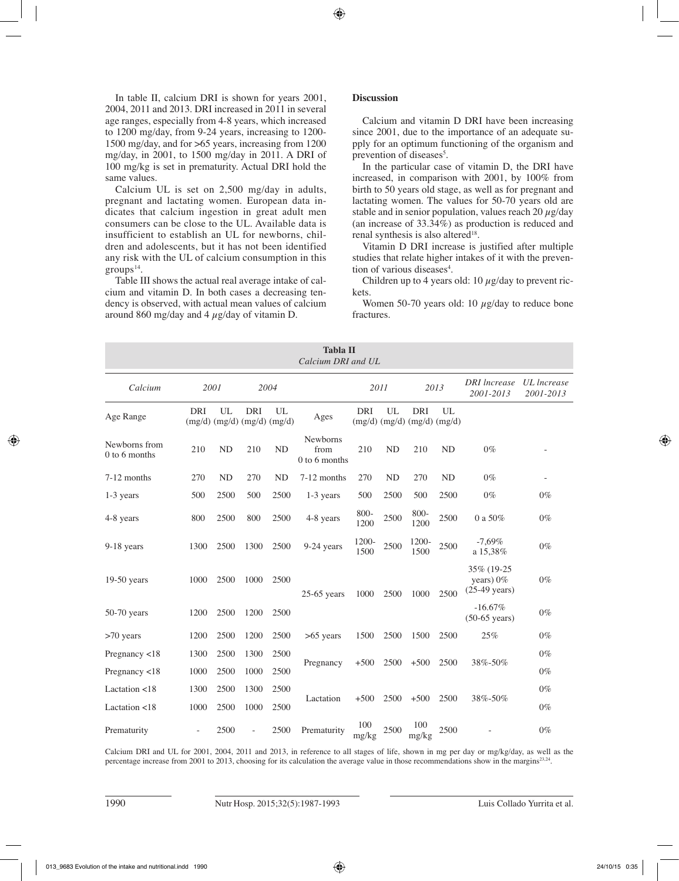In table II, calcium DRI is shown for years 2001, 2004, 2011 and 2013. DRI increased in 2011 in several age ranges, especially from 4-8 years, which increased to 1200 mg/day, from 9-24 years, increasing to 1200- 1500 mg/day, and for >65 years, increasing from 1200 mg/day, in 2001, to 1500 mg/day in 2011. A DRI of 100 mg/kg is set in prematurity. Actual DRI hold the same values.

Calcium UL is set on 2,500 mg/day in adults, pregnant and lactating women. European data indicates that calcium ingestion in great adult men consumers can be close to the UL. Available data is insufficient to establish an UL for newborns, children and adolescents, but it has not been identified any risk with the UL of calcium consumption in this  $groups<sup>14</sup>$ .

Table III shows the actual real average intake of calcium and vitamin D. In both cases a decreasing tendency is observed, with actual mean values of calcium around 860 mg/day and 4  $\mu$ g/day of vitamin D.

## **Discussion**

Calcium and vitamin D DRI have been increasing since 2001, due to the importance of an adequate supply for an optimum functioning of the organism and prevention of diseases<sup>5</sup>.

In the particular case of vitamin D, the DRI have increased, in comparison with 2001, by 100% from birth to 50 years old stage, as well as for pregnant and lactating women. The values for 50-70 years old are stable and in senior population, values reach 20  $\mu$ g/day (an increase of 33.34%) as production is reduced and renal synthesis is also altered<sup>18</sup>.

Vitamin D DRI increase is justified after multiple studies that relate higher intakes of it with the prevention of various diseases<sup>4</sup>.

Children up to 4 years old: 10  $\mu$ g/day to prevent rickets.

Women 50-70 years old: 10  $\mu$ g/day to reduce bone fractures.

| <b>Tabla II</b><br>Calcium DRI and UL |            |           |                                                   |           |                                            |               |           |                                                   |           |                                                    |                                 |
|---------------------------------------|------------|-----------|---------------------------------------------------|-----------|--------------------------------------------|---------------|-----------|---------------------------------------------------|-----------|----------------------------------------------------|---------------------------------|
| Calcium                               | 2001       |           | 2004                                              |           |                                            | 2011          |           | 2013                                              |           | <b>DRI</b> <i>Increase</i><br>2001-2013            | UL <i>Increase</i><br>2001-2013 |
| Age Range                             | <b>DRI</b> | UL        | <b>DRI</b><br>$(mg/d)$ $(mg/d)$ $(mg/d)$ $(mg/d)$ | UL        | Ages                                       | <b>DRI</b>    | UL        | <b>DRI</b><br>$(mg/d)$ $(mg/d)$ $(mg/d)$ $(mg/d)$ | UL        |                                                    |                                 |
| Newborns from<br>0 to 6 months        | 210        | <b>ND</b> | 210                                               | <b>ND</b> | <b>Newborns</b><br>from<br>$0$ to 6 months | 210           | ND        | 210                                               | <b>ND</b> | $0\%$                                              |                                 |
| 7-12 months                           | 270        | <b>ND</b> | 270                                               | <b>ND</b> | 7-12 months                                | 270           | <b>ND</b> | 270                                               | <b>ND</b> | $0\%$                                              | $\overline{\phantom{a}}$        |
| 1-3 years                             | 500        | 2500      | 500                                               | 2500      | 1-3 years                                  | 500           | 2500      | 500                                               | 2500      | $0\%$                                              | $0\%$                           |
| 4-8 years                             | 800        | 2500      | 800                                               | 2500      | 4-8 years                                  | 800-<br>1200  | 2500      | 800-<br>1200                                      | 2500      | 0 a 50%                                            | $0\%$                           |
| 9-18 years                            | 1300       | 2500      | 1300                                              | 2500      | 9-24 years                                 | 1200-<br>1500 | 2500      | 1200-<br>1500                                     | 2500      | $-7,69\%$<br>a 15,38%                              | $0\%$                           |
| $19-50$ years                         | 1000       | 2500      | 1000                                              | 2500      | $25-65$ years                              | 1000          | 2500      | 1000                                              | 2500      | 35% (19-25<br>years) 0%<br>$(25-49 \text{ years})$ | $0\%$                           |
| $50-70$ years                         | 1200       | 2500      | 1200                                              | 2500      |                                            |               |           |                                                   |           | $-16.67%$<br>$(50-65 \text{ years})$               | $0\%$                           |
| >70 years                             | 1200       | 2500      | 1200                                              | 2500      | $>65$ years                                | 1500          | 2500      | 1500                                              | 2500      | 25%                                                | $0\%$                           |
| Pregnancy <18                         | 1300       | 2500      | 1300                                              | 2500      |                                            | $+500$        | 2500      | $+500$                                            |           | 38%-50%                                            | $0\%$                           |
| Pregnancy <18                         | 1000       | 2500      | 1000                                              | 2500      | Pregnancy                                  |               |           |                                                   | 2500      |                                                    | $0\%$                           |
| Lactation <18                         | 1300       | 2500      | 1300                                              | 2500      |                                            | $+500$        | 2500      |                                                   | 2500      | 38%-50%                                            | $0\%$                           |
| Lactation <18                         | 1000       | 2500      | 1000                                              | 2500      | Lactation                                  |               |           | $+500$                                            |           |                                                    | $0\%$                           |
| Prematurity                           |            | 2500      |                                                   | 2500      | Prematurity                                | 100<br>mg/kg  | 2500      | 100<br>mg/kg                                      | 2500      |                                                    | $0\%$                           |

Calcium DRI and UL for 2001, 2004, 2011 and 2013, in reference to all stages of life, shown in mg per day or mg/kg/day, as well as the percentage increase from 2001 to 2013, choosing for its calculation the average value in those recommendations show in the margins<sup>23,24</sup>.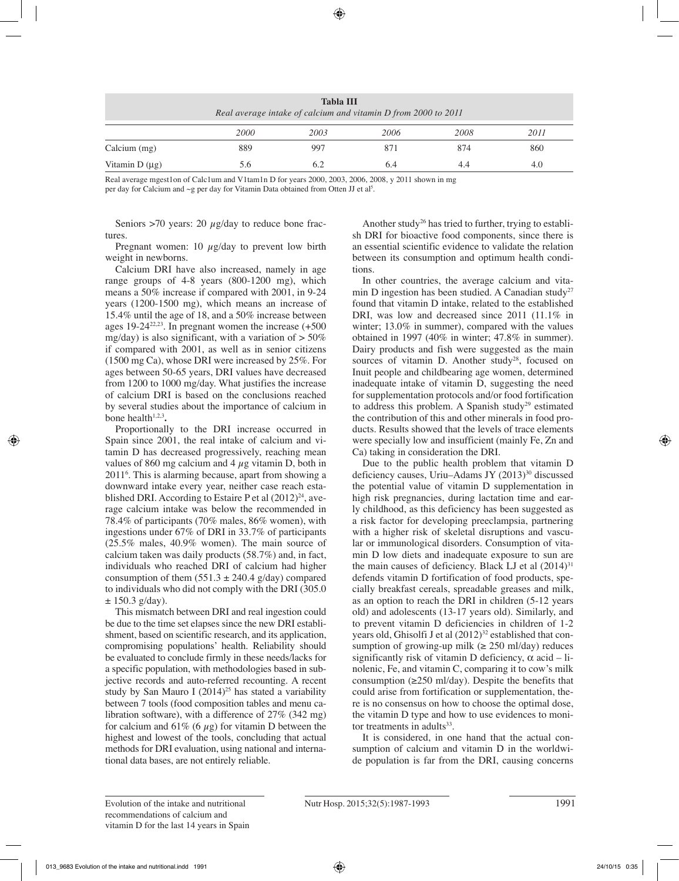| <b>Tabla III</b><br>Real average intake of calcium and vitamin D from 2000 to 2011 |      |      |      |      |      |  |  |  |
|------------------------------------------------------------------------------------|------|------|------|------|------|--|--|--|
|                                                                                    | 2000 | 2003 | 2006 | 2008 | 2011 |  |  |  |
| Calcium $(mg)$                                                                     | 889  | 997  | 871  | 874  | 860  |  |  |  |
| Vitamin $D(\mu g)$                                                                 | 5.6  | 6.2  | 6.4  |      | 4.0  |  |  |  |

Real average mgest1on of Calc1um and V1tam1n D for years 2000, 2003, 2006, 2008, y 2011 shown in mg per day for Calcium and  $\sim$ g per day for Vitamin Data obtained from Otten JJ et al $^{\circ}$ .

Seniors  $>70$  years: 20  $\mu$ g/day to reduce bone fractures.

Pregnant women: 10  $\mu$ g/day to prevent low birth weight in newborns.

Calcium DRI have also increased, namely in age range groups of 4-8 years (800-1200 mg), which means a 50% increase if compared with 2001, in 9-24 years (1200-1500 mg), which means an increase of 15.4% until the age of 18, and a 50% increase between ages  $19-24^{22,23}$ . In pregnant women the increase  $(+500)$ mg/day) is also significant, with a variation of  $> 50\%$ if compared with 2001, as well as in senior citizens (1500 mg Ca), whose DRI were increased by 25%. For ages between 50-65 years, DRI values have decreased from 1200 to 1000 mg/day. What justifies the increase of calcium DRI is based on the conclusions reached by several studies about the importance of calcium in bone health<sup>1,2,3</sup>.

Proportionally to the DRI increase occurred in Spain since 2001, the real intake of calcium and vitamin D has decreased progressively, reaching mean values of 860 mg calcium and 4  $\mu$ g vitamin D, both in 20116 . This is alarming because, apart from showing a downward intake every year, neither case reach established DRI. According to Estaire P et al  $(2012)^{24}$ , average calcium intake was below the recommended in 78.4% of participants (70% males, 86% women), with ingestions under 67% of DRI in 33.7% of participants (25.5% males, 40.9% women). The main source of calcium taken was daily products (58.7%) and, in fact, individuals who reached DRI of calcium had higher consumption of them  $(551.3 \pm 240.4 \text{ g/day})$  compared to individuals who did not comply with the DRI (305.0  $\pm$  150.3 g/day).

This mismatch between DRI and real ingestion could be due to the time set elapses since the new DRI establishment, based on scientific research, and its application, compromising populations' health. Reliability should be evaluated to conclude firmly in these needs/lacks for a specific population, with methodologies based in subjective records and auto-referred recounting. A recent study by San Mauro I  $(2014)^{25}$  has stated a variability between 7 tools (food composition tables and menu calibration software), with a difference of 27% (342 mg) for calcium and 61% (6  $\mu$ g) for vitamin D between the highest and lowest of the tools, concluding that actual methods for DRI evaluation, using national and international data bases, are not entirely reliable.

Another study<sup>26</sup> has tried to further, trying to establish DRI for bioactive food components, since there is an essential scientific evidence to validate the relation between its consumption and optimum health conditions.

In other countries, the average calcium and vitamin D ingestion has been studied. A Canadian study<sup>27</sup> found that vitamin D intake, related to the established DRI, was low and decreased since 2011 (11.1% in winter; 13.0% in summer), compared with the values obtained in 1997 (40% in winter; 47.8% in summer). Dairy products and fish were suggested as the main sources of vitamin D. Another study<sup>28</sup>, focused on Inuit people and childbearing age women, determined inadequate intake of vitamin D, suggesting the need for supplementation protocols and/or food fortification to address this problem. A Spanish study<sup>29</sup> estimated the contribution of this and other minerals in food products. Results showed that the levels of trace elements were specially low and insufficient (mainly Fe, Zn and Ca) taking in consideration the DRI.

Due to the public health problem that vitamin D deficiency causes, Uriu–Adams JY (2013)<sup>30</sup> discussed the potential value of vitamin D supplementation in high risk pregnancies, during lactation time and early childhood, as this deficiency has been suggested as a risk factor for developing preeclampsia, partnering with a higher risk of skeletal disruptions and vascular or immunological disorders. Consumption of vitamin D low diets and inadequate exposure to sun are the main causes of deficiency. Black LJ et al  $(2014)^{31}$ defends vitamin D fortification of food products, specially breakfast cereals, spreadable greases and milk, as an option to reach the DRI in children (5-12 years old) and adolescents (13-17 years old). Similarly, and to prevent vitamin D deficiencies in children of 1-2 years old, Ghisolfi J et al (2012)<sup>32</sup> established that consumption of growing-up milk ( $\geq$  250 ml/day) reduces significantly risk of vitamin D deficiency,  $\alpha$  acid – linolenic, Fe, and vitamin C, comparing it to cow's milk consumption ( $\geq$ 250 ml/day). Despite the benefits that could arise from fortification or supplementation, there is no consensus on how to choose the optimal dose, the vitamin D type and how to use evidences to monitor treatments in adults $33$ .

It is considered, in one hand that the actual consumption of calcium and vitamin D in the worldwide population is far from the DRI, causing concerns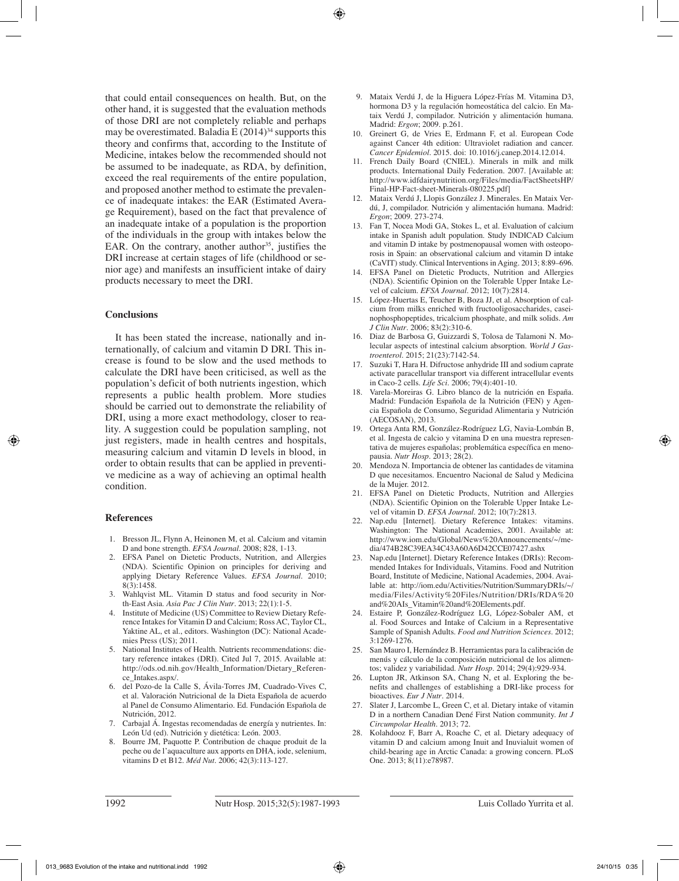that could entail consequences on health. But, on the other hand, it is suggested that the evaluation methods of those DRI are not completely reliable and perhaps may be overestimated. Baladia E  $(2014)^{34}$  supports this theory and confirms that, according to the Institute of Medicine, intakes below the recommended should not be assumed to be inadequate, as RDA, by definition, exceed the real requirements of the entire population, and proposed another method to estimate the prevalence of inadequate intakes: the EAR (Estimated Average Requirement), based on the fact that prevalence of an inadequate intake of a population is the proportion of the individuals in the group with intakes below the EAR. On the contrary, another author<sup>35</sup>, justifies the DRI increase at certain stages of life (childhood or senior age) and manifests an insufficient intake of dairy products necessary to meet the DRI.

## **Conclusions**

It has been stated the increase, nationally and internationally, of calcium and vitamin D DRI. This increase is found to be slow and the used methods to calculate the DRI have been criticised, as well as the population's deficit of both nutrients ingestion, which represents a public health problem. More studies should be carried out to demonstrate the reliability of DRI, using a more exact methodology, closer to reality. A suggestion could be population sampling, not just registers, made in health centres and hospitals, measuring calcium and vitamin D levels in blood, in order to obtain results that can be applied in preventive medicine as a way of achieving an optimal health condition.

#### **References**

- 1. Bresson JL, Flynn A, Heinonen M, et al. Calcium and vitamin D and bone strength. *EFSA Journal*. 2008; 828, 1-13.
- 2. EFSA Panel on Dietetic Products, Nutrition, and Allergies (NDA). Scientific Opinion on principles for deriving and applying Dietary Reference Values. *EFSA Journal*. 2010; 8(3):1458.
- 3. Wahlqvist ML. Vitamin D status and food security in North-East Asia. *Asia Pac J Clin Nutr*. 2013; 22(1):1-5.
- 4. Institute of Medicine (US) Committee to Review Dietary Reference Intakes for Vitamin D and Calcium; Ross AC, Taylor CL, Yaktine AL, et al., editors. Washington (DC): National Academies Press (US); 2011.
- 5. National Institutes of Health. Nutrients recommendations: dietary reference intakes (DRI). Cited Jul 7, 2015. Available at: http://ods.od.nih.gov/Health\_Information/Dietary\_Reference\_Intakes.aspx/.
- 6. del Pozo-de la Calle S, Ávila-Torres JM, Cuadrado-Vives C, et al. Valoración Nutricional de la Dieta Española de acuerdo al Panel de Consumo Alimentario. Ed. Fundación Española de Nutrición, 2012.
- 7. Carbajal Á. Ingestas recomendadas de energía y nutrientes. In: León Ud (ed). Nutrición y dietética: León. 2003.
- 8. Bourre JM, Paquotte P. Contribution de chaque produit de la peche ou de l'aquaculture aux apports en DHA, iode, selenium, vitamins D et B12. *Méd Nut*. 2006; 42(3):113-127.
- 9. Mataix Verdú J, de la Higuera López-Frías M. Vitamina D3, hormona D3 y la regulación homeostática del calcio. En Mataix Verdú J, compilador. Nutrición y alimentación humana. Madrid: *Ergon*; 2009. p.261.
- 10. Greinert G, de Vries E, Erdmann F, et al. European Code against Cancer 4th edition: Ultraviolet radiation and cancer. *Cancer Epidemiol*. 2015. doi: 10.1016/j.canep.2014.12.014.
- 11. French Daily Board (CNIEL). Minerals in milk and milk products. International Daily Federation. 2007. [Available at: http://www.idfdairynutrition.org/Files/media/FactSheetsHP/ Final-HP-Fact-sheet-Minerals-080225.pdf]
- 12. Mataix Verdú J, Llopis González J. Minerales. En Mataix Verdú, J, compilador. Nutrición y alimentación humana. Madrid: *Ergon*; 2009. 273-274.
- 13. Fan T, Nocea Modi GA, Stokes L, et al. Evaluation of calcium intake in Spanish adult population. Study INDICAD Calcium and vitamin D intake by postmenopausal women with osteoporosis in Spain: an observational calcium and vitamin D intake (CaVIT) study. Clinical Interventions in Aging. 2013; 8:89–696.
- 14. EFSA Panel on Dietetic Products, Nutrition and Allergies (NDA). Scientific Opinion on the Tolerable Upper Intake Level of calcium. *EFSA Journal*. 2012; 10(7):2814.
- 15. López-Huertas E, Teucher B, Boza JJ, et al. Absorption of calcium from milks enriched with fructooligosaccharides, caseinophosphopeptides, tricalcium phosphate, and milk solids. *Am J Clin Nutr*. 2006; 83(2):310-6.
- 16. Diaz de Barbosa G, Guizzardi S, Tolosa de Talamoni N. Molecular aspects of intestinal calcium absorption. *World J Gastroenterol*. 2015; 21(23):7142-54.
- 17. Suzuki T, Hara H. Difructose anhydride III and sodium caprate activate paracellular transport via different intracellular events in Caco-2 cells. *Life Sci*. 2006; 79(4):401-10.
- Varela-Moreiras G. Libro blanco de la nutrición en España. Madrid: Fundación Española de la Nutrición (FEN) y Agencia Española de Consumo, Seguridad Alimentaria y Nutrición (AECOSAN), 2013.
- 19. Ortega Anta RM, González-Rodríguez LG, Navia-Lombán B, et al. Ingesta de calcio y vitamina D en una muestra representativa de mujeres españolas; problemática específica en menopausia. *Nutr Hosp*. 2013; 28(2).
- 20. Mendoza N. Importancia de obtener las cantidades de vitamina D que necesitamos. Encuentro Nacional de Salud y Medicina de la Mujer. 2012.
- 21. EFSA Panel on Dietetic Products, Nutrition and Allergies (NDA). Scientific Opinion on the Tolerable Upper Intake Level of vitamin D. *EFSA Journal*. 2012; 10(7):2813.
- 22. Nap.edu [Internet]. Dietary Reference Intakes: vitamins. Washington: The National Academies, 2001. Available at: http://www.iom.edu/Global/News%20Announcements/~/media/474B28C39EA34C43A60A6D42CCE07427.ashx
- 23. Nap.edu [Internet]. Dietary Reference Intakes (DRIs): Recommended Intakes for Individuals, Vitamins. Food and Nutrition Board, Institute of Medicine, National Academies, 2004. Available at: http://iom.edu/Activities/Nutrition/SummaryDRIs/~/ media/Files/Activity%20Files/Nutrition/DRIs/RDA%20 and%20AIs\_Vitamin%20and%20Elements.pdf.
- 24. Estaire P, González-Rodríguez LG, López-Sobaler AM, et al. Food Sources and Intake of Calcium in a Representative Sample of Spanish Adults. *Food and Nutrition Sciences*. 2012; 3:1269-1276.
- 25. San Mauro I, Hernández B. Herramientas para la calibración de menús y cálculo de la composición nutricional de los alimentos; validez y variabilidad. *Nutr Hosp*. 2014; 29(4):929-934.
- 26. Lupton JR, Atkinson SA, Chang N, et al. Exploring the benefits and challenges of establishing a DRI-like process for bioactives. *Eur J Nutr*. 2014.
- 27. Slater J, Larcombe L, Green C, et al. Dietary intake of vitamin D in a northern Canadian Dené First Nation community. *Int J Circumpolar Health*. 2013; 72.
- Kolahdooz F, Barr A, Roache C, et al. Dietary adequacy of vitamin D and calcium among Inuit and Inuvialuit women of child-bearing age in Arctic Canada: a growing concern. PLoS One. 2013; 8(11):e78987.